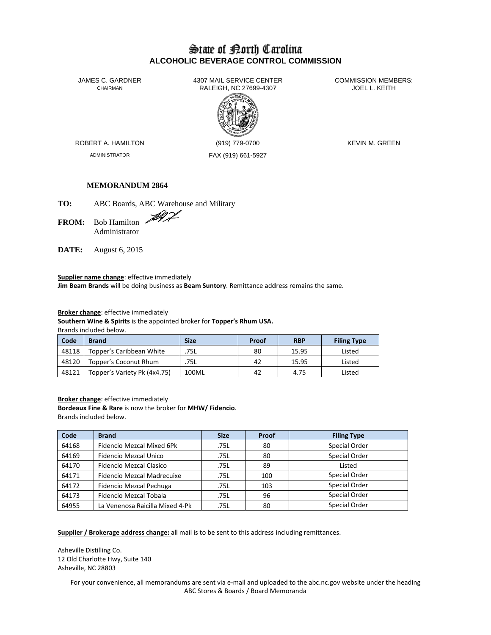# State of Borth Carolina **ALCOHOLIC BEVERAGE CONTROL COMMISSION**

JAMES C. GARDNER CHAIRMAN

4307 MAIL SERVICE CENTER RALEIGH, NC 27699-4307



**COMMISSION MEMBERS:** JOEL L. KEITH

ROBERT A. HAMILTON

ADMINISTRATOR

(919) 779-0700 FAX (919) 661-5927 **KEVIN M. GREEN** 

Listed

Listed

Listed

## **MEMORANDUM 2864**

TO: ABC Boards, ABC Warehouse and Military

**FROM:** Bob Hamilton Administrator

DATE: August 6, 2015

48121

Supplier name change: effective immediately Jim Beam Brands will be doing business as Beam Suntory. Remittance address remains the same.

Broker change: effective immediately

Topper's Variety Pk (4x4.75)

Southern Wine & Spirits is the appointed broker for Topper's Rhum USA. Brands included below.

Code **Brand Size** Proof **RBP Filing Type** 48118 Topper's Caribbean White .75L 80 15.95 48120 Topper's Coconut Rhum .75L 42 15.95

100ML

Broker change: effective immediately Bordeaux Fine & Rare is now the broker for MHW/ Fidencio. Brands included below.

| Code  | <b>Brand</b>                    | <b>Size</b> | Proof | <b>Filing Type</b> |
|-------|---------------------------------|-------------|-------|--------------------|
| 64168 | Fidencio Mezcal Mixed 6Pk       | .75L        | 80    | Special Order      |
| 64169 | Fidencio Mezcal Unico           | .75L        | 80    | Special Order      |
| 64170 | Fidencio Mezcal Clasico         | .75L        | 89    | Listed             |
| 64171 | Fidencio Mezcal Madrecuixe      | .75L        | 100   | Special Order      |
| 64172 | Fidencio Mezcal Pechuga         | .75L        | 103   | Special Order      |
| 64173 | Fidencio Mezcal Tobala          | .75L        | 96    | Special Order      |
| 64955 | La Venenosa Raicilla Mixed 4-Pk | .75L        | 80    | Special Order      |

42

4.75

Supplier / Brokerage address change: all mail is to be sent to this address including remittances.

Asheville Distilling Co. 12 Old Charlotte Hwy, Suite 140 Asheville, NC 28803

> For your convenience, all memorandums are sent via e-mail and uploaded to the abc.nc.gov website under the heading ABC Stores & Boards / Board Memoranda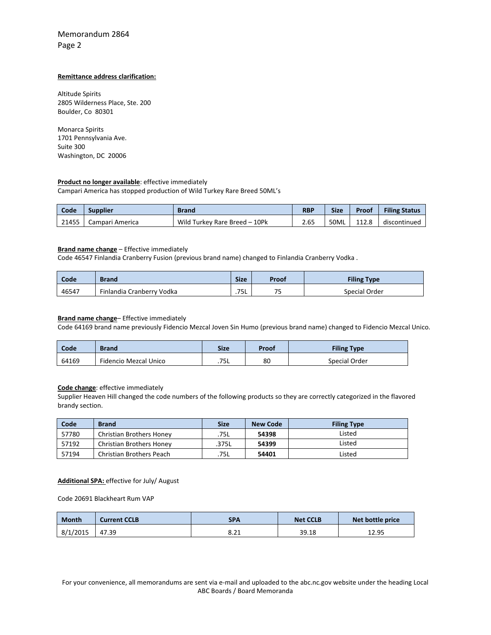# Memorandum 2864 Page 2

### **Remittance address clarification:**

Altitude Spirits 2805 Wilderness Place, Ste. 200 Boulder, Co 80301

Monarca Spirits 1701 Pennsylvania Ave. Suite 300 Washington, DC 20006

### **Product no longer available**: effective immediately

Campari America has stopped production of Wild Turkey Rare Breed 50ML's

| Code  | <b>Supplier</b> | Brand                         | <b>RBP</b> | <b>Size</b> | Proof | <b>Filing Status</b> |
|-------|-----------------|-------------------------------|------------|-------------|-------|----------------------|
| 21455 | Campari America | Wild Turkey Rare Breed - 10Pk | 2.65       | 50ML        | 112.8 | discontinued         |

#### **Brand name change** – Effective immediately

Code 46547 Finlandia Cranberry Fusion (previous brand name) changed to Finlandia Cranberry Vodka .

| Code  | <b>Brand</b>              | <b>Size</b> | Proof            | <b>Filing Type</b> |
|-------|---------------------------|-------------|------------------|--------------------|
| 46547 | Finlandia Cranberry Vodka | .75L        | <u>тг</u><br>ب . | Special Order      |

#### **Brand name change**– Effective immediately

Code 64169 brand name previously Fidencio Mezcal Joven Sin Humo (previous brand name) changed to Fidencio Mezcal Unico.

| Code  | <b>Brand</b>          | <b>Size</b> | Proof | <b>Filing Type</b> |
|-------|-----------------------|-------------|-------|--------------------|
| 64169 | Fidencio Mezcal Unico | .75L        | 80    | Special Order      |

# **Code change**: effective immediately

Supplier Heaven Hill changed the code numbers of the following products so they are correctly categorized in the flavored brandy section.

| Code  | <b>Brand</b>                    | <b>Size</b> | <b>New Code</b> | <b>Filing Type</b> |
|-------|---------------------------------|-------------|-----------------|--------------------|
| 57780 | Christian Brothers Honey        | .75L        | 54398           | Listed             |
| 57192 | <b>Christian Brothers Honey</b> | .375L       | 54399           | Listed             |
| 57194 | <b>Christian Brothers Peach</b> | .75L        | 54401           | Listed             |

#### **Additional SPA:** effective for July/ August

Code 20691 Blackheart Rum VAP

| <b>Month</b> | <b>Current CCLB</b> | <b>SPA</b> | <b>Net CCLB</b> | Net bottle price |
|--------------|---------------------|------------|-----------------|------------------|
| 8/1/2015     | 47.39               | 8.ZI       | 39.18           | 12.95            |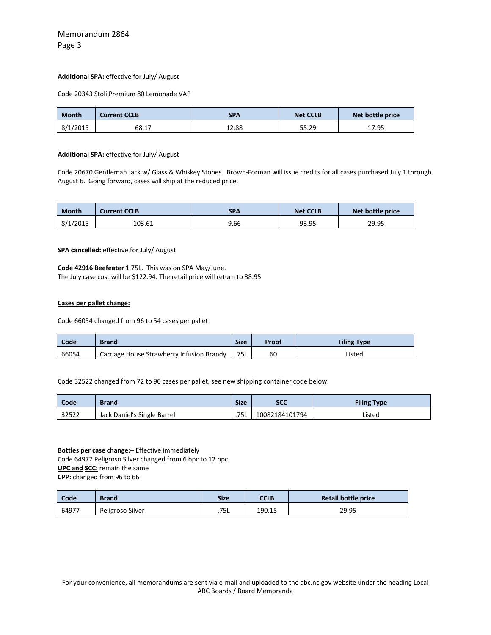#### **Additional SPA:** effective for July/ August

Code 20343 Stoli Premium 80 Lemonade VAP

| <b>Month</b> | <b>Current CCLB</b> | <b>SPA</b> | <b>Net CCLB</b> | Net bottle price |
|--------------|---------------------|------------|-----------------|------------------|
| 8/1/2015     | 68.17               | 12.88      | 55.29           | 17.95            |

#### **Additional SPA:** effective for July/ August

Code 20670 Gentleman Jack w/ Glass & Whiskey Stones. Brown‐Forman will issue credits for all cases purchased July 1 through August 6. Going forward, cases will ship at the reduced price.

| <b>Month</b> | <b>Current CCLB</b> | SPA  | <b>Net CCLB</b> | Net bottle price |
|--------------|---------------------|------|-----------------|------------------|
| 8/1/2015     | 103.61              | 9.66 | 93.95           | 29.95            |

#### **SPA cancelled:** effective for July/ August

**Code 42916 Beefeater** 1.75L. This was on SPA May/June. The July case cost will be \$122.94. The retail price will return to 38.95

#### **Cases per pallet change:**

Code 66054 changed from 96 to 54 cases per pallet

| Code  | <b>Brand</b>                              | <b>Size</b> | Proof | <b>Filing Type</b> |
|-------|-------------------------------------------|-------------|-------|--------------------|
| 66054 | Carriage House Strawberry Infusion Brandy | .75L        | 60    | Listed             |

Code 32522 changed from 72 to 90 cases per pallet, see new shipping container code below.

| Code  | <b>Brand</b>                | <b>Size</b> | <b>SCC</b>     | <b>Filing Type</b> |
|-------|-----------------------------|-------------|----------------|--------------------|
| 32522 | Jack Daniel's Single Barrel | .75L        | 10082184101794 | Listed             |

**Bottles per case change:**– Effective immediately Code 64977 Peligroso Silver changed from 6 bpc to 12 bpc **UPC and SCC:** remain the same **CPP:** changed from 96 to 66

| Code  | <b>Brand</b>     | <b>Size</b> | CCLB   | Retail bottle price |
|-------|------------------|-------------|--------|---------------------|
| 64977 | Peligroso Silver | .75L        | 190.15 | 29.95               |